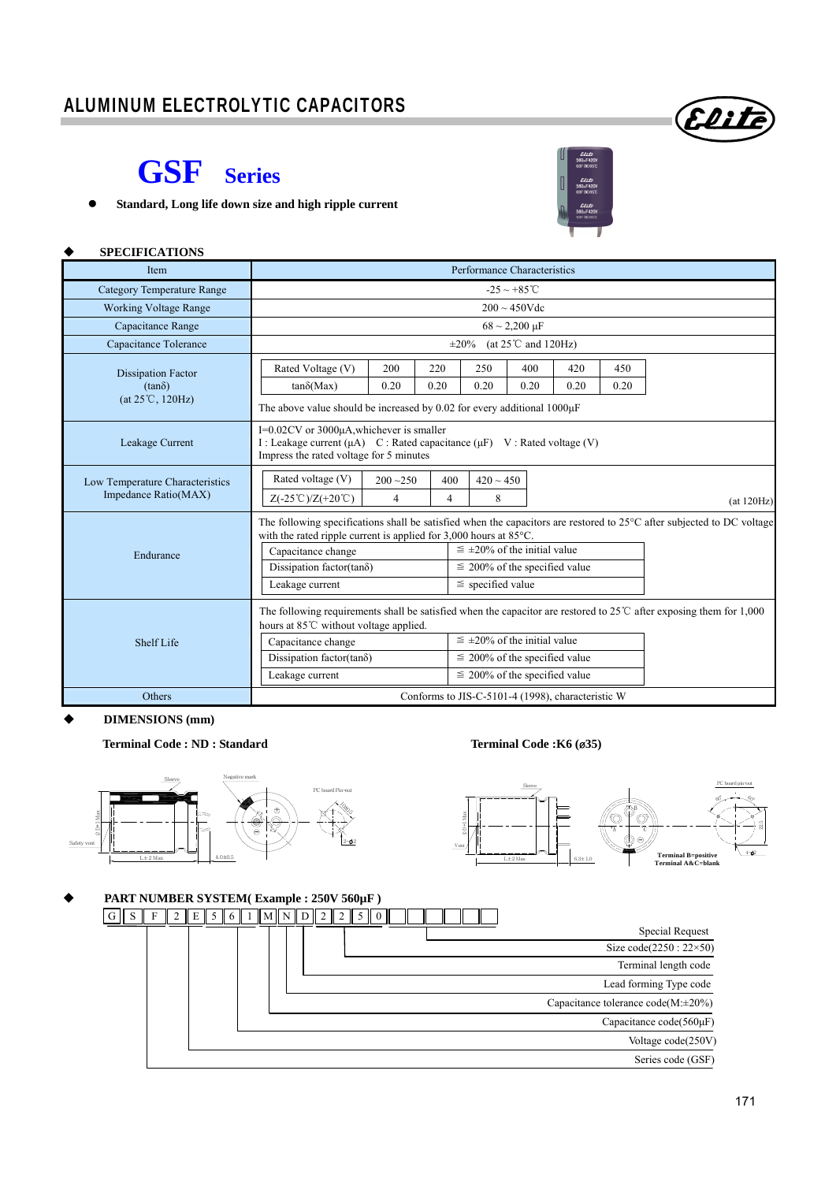## ALUMINUM ELECTROLYTIC CAPACITORS



**SPECIFICATIONS**

**Standard, Long life down size and high ripple current** 



#### (at 120Hz) **Item Performance Characteristics Performance Characteristics** Category Temperature Range  $-25 \sim +85^{\circ}$ Working Voltage Range 200 ~ 450Vdc Capacitance Range 68  $\sim$  2,200 μF Capacitance Tolerance  $\pm 20\%$  (at 25°C and 120Hz) Dissipation Factor  $(tan\delta)$ (at 25<sup>°</sup>C, 120Hz) The above value should be increased by 0.02 for every additional 1000 $\mu$ F Rated Voltage (V) 200 220 250 400 420 450  $tan\delta(Max)$  0.20 0.20 0.20 0.20 0.20 0.20 Leakage Current I=0.02CV or 3000μA,whichever is smaller I : Leakage current (μA) C : Rated capacitance (μF) V : Rated voltage (V) Impress the rated voltage for 5 minutes Low Temperature Characteristics Impedance Ratio(MAX) Endurance The following specifications shall be satisfied when the capacitors are restored to 25°C after subjected to DC voltage with the rated ripple current is applied for 3,000 hours at  $85^{\circ}$ C. Capacitance change  $\leq \pm 20\%$  of the initial value Dissipation factor(tan $\delta$ )  $\leq$  200% of the specified value Leakage current  $\vert \equiv$  specified value Shelf Life The following requirements shall be satisfied when the capacitor are restored to 25℃ after exposing them for 1,000 hours at 85℃ without voltage applied. Capacitance change  $\leq \pm 20\%$  of the initial value Dissipation factor(tan $\delta$ )  $\leq$  200% of the specified value Leakage current  $\leq 200\%$  of the specified value Others Conforms to JIS-C-5101-4 (1998), characteristic W Rated voltage (V)  $\begin{array}{|c|c|c|c|c|} \hline 200 & -250 & 400 & 420 & -450 \ \hline \end{array}$  $Z(-25°C)/Z(+20°C)$  4 4 8

**DIMENSIONS (mm)** 

**Terminal Code : ND : Standard Terminal Code :K6 (**ø**35)** 





### **PART NUMBER SYSTEM( Example : 250V 560µF )**  Special Request Size code(2250 : 22×50) Terminal length code Lead forming Type code Capacitance tolerance code(M:±20%) Capacitance code(560μF) Voltage code(250V) Series code (GSF) G S F 2 E 5 6 1 M N D 2 2 5 0